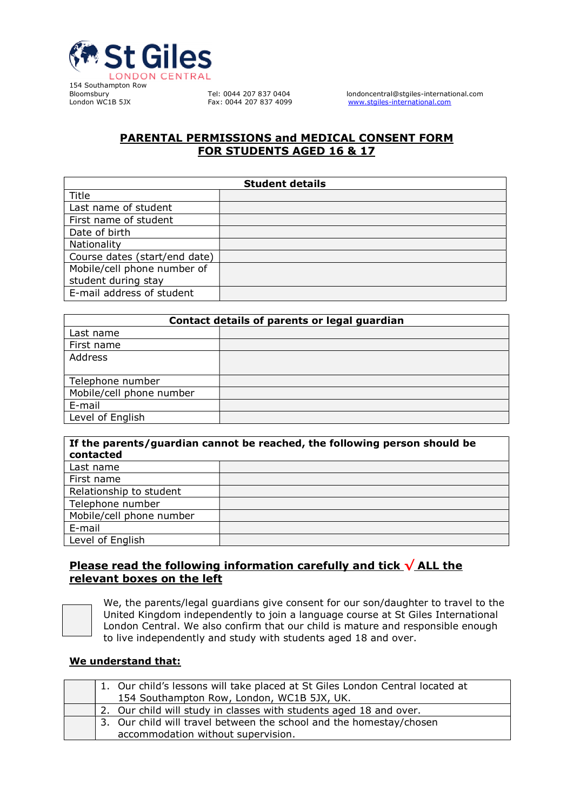

154 Southampton Row

Bloomsbury Tel: 0044 207 837 0404 londoncentral@stgiles-international.com<br>
London WC1B 5JX Fax: 0044 207 837 4099 www.stgiles-international.com www.stgiles-international.com

## PARENTAL PERMISSIONS and MEDICAL CONSENT FORM FOR STUDENTS AGED 16 & 17

| <b>Student details</b>        |  |  |  |  |
|-------------------------------|--|--|--|--|
| Title                         |  |  |  |  |
| Last name of student          |  |  |  |  |
| First name of student         |  |  |  |  |
| Date of birth                 |  |  |  |  |
| Nationality                   |  |  |  |  |
| Course dates (start/end date) |  |  |  |  |
| Mobile/cell phone number of   |  |  |  |  |
| student during stay           |  |  |  |  |
| E-mail address of student     |  |  |  |  |

| Contact details of parents or legal guardian |  |  |  |  |
|----------------------------------------------|--|--|--|--|
| Last name                                    |  |  |  |  |
| First name                                   |  |  |  |  |
| Address                                      |  |  |  |  |
|                                              |  |  |  |  |
| Telephone number                             |  |  |  |  |
| Mobile/cell phone number                     |  |  |  |  |
| E-mail                                       |  |  |  |  |
| Level of English                             |  |  |  |  |

| If the parents/guardian cannot be reached, the following person should be<br>contacted |  |  |  |  |  |
|----------------------------------------------------------------------------------------|--|--|--|--|--|
| Last name                                                                              |  |  |  |  |  |
| First name                                                                             |  |  |  |  |  |
| Relationship to student                                                                |  |  |  |  |  |
| Telephone number                                                                       |  |  |  |  |  |
| Mobile/cell phone number                                                               |  |  |  |  |  |
| E-mail                                                                                 |  |  |  |  |  |
| Level of English                                                                       |  |  |  |  |  |

## Please read the following information carefully and tick  $\sqrt{\text{ALL the}}$ relevant boxes on the left

We, the parents/legal guardians give consent for our son/daughter to travel to the United Kingdom independently to join a language course at St Giles International London Central. We also confirm that our child is mature and responsible enough to live independently and study with students aged 18 and over.

### We understand that:

|  | 1. Our child's lessons will take placed at St Giles London Central located at |
|--|-------------------------------------------------------------------------------|
|  | 154 Southampton Row, London, WC1B 5JX, UK.                                    |
|  | 2. Our child will study in classes with students aged 18 and over.            |
|  | 3. Our child will travel between the school and the homestay/chosen           |
|  | accommodation without supervision.                                            |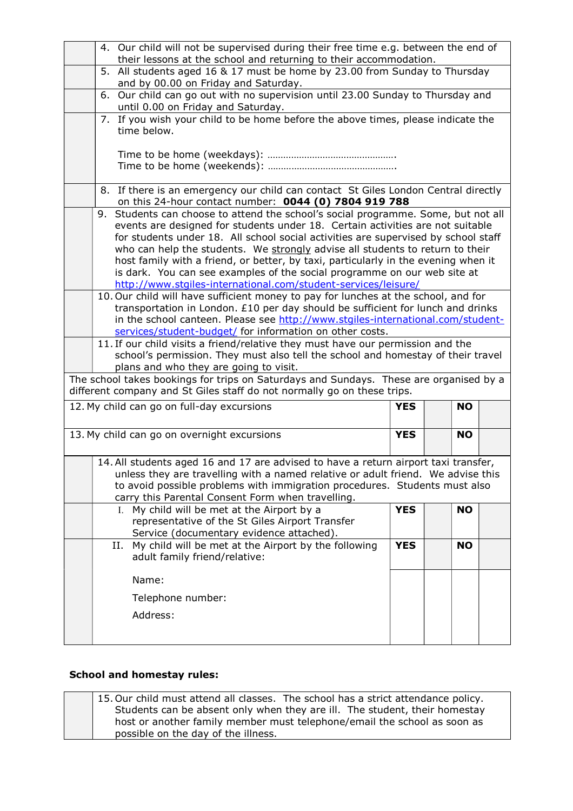|                                                                                                                                                                                                                                                                                                            | 4. Our child will not be supervised during their free time e.g. between the end of<br>their lessons at the school and returning to their accommodation.                                                                                                                                                                                                                                                                                                                                                         |            |  |           |  |  |  |  |
|------------------------------------------------------------------------------------------------------------------------------------------------------------------------------------------------------------------------------------------------------------------------------------------------------------|-----------------------------------------------------------------------------------------------------------------------------------------------------------------------------------------------------------------------------------------------------------------------------------------------------------------------------------------------------------------------------------------------------------------------------------------------------------------------------------------------------------------|------------|--|-----------|--|--|--|--|
|                                                                                                                                                                                                                                                                                                            | 5. All students aged 16 & 17 must be home by 23.00 from Sunday to Thursday<br>and by 00.00 on Friday and Saturday.                                                                                                                                                                                                                                                                                                                                                                                              |            |  |           |  |  |  |  |
|                                                                                                                                                                                                                                                                                                            | 6. Our child can go out with no supervision until 23.00 Sunday to Thursday and<br>until 0.00 on Friday and Saturday.                                                                                                                                                                                                                                                                                                                                                                                            |            |  |           |  |  |  |  |
|                                                                                                                                                                                                                                                                                                            | 7. If you wish your child to be home before the above times, please indicate the<br>time below.                                                                                                                                                                                                                                                                                                                                                                                                                 |            |  |           |  |  |  |  |
|                                                                                                                                                                                                                                                                                                            |                                                                                                                                                                                                                                                                                                                                                                                                                                                                                                                 |            |  |           |  |  |  |  |
|                                                                                                                                                                                                                                                                                                            | 8. If there is an emergency our child can contact St Giles London Central directly<br>on this 24-hour contact number: 0044 (0) 7804 919 788                                                                                                                                                                                                                                                                                                                                                                     |            |  |           |  |  |  |  |
|                                                                                                                                                                                                                                                                                                            | Students can choose to attend the school's social programme. Some, but not all<br>9.<br>events are designed for students under 18. Certain activities are not suitable<br>for students under 18. All school social activities are supervised by school staff<br>who can help the students. We strongly advise all students to return to their<br>host family with a friend, or better, by taxi, particularly in the evening when it<br>is dark. You can see examples of the social programme on our web site at |            |  |           |  |  |  |  |
|                                                                                                                                                                                                                                                                                                            | http://www.stgiles-international.com/student-services/leisure/<br>10. Our child will have sufficient money to pay for lunches at the school, and for<br>transportation in London. £10 per day should be sufficient for lunch and drinks<br>in the school canteen. Please see http://www.stgiles-international.com/student-<br>services/student-budget/ for information on other costs.                                                                                                                          |            |  |           |  |  |  |  |
| 11. If our child visits a friend/relative they must have our permission and the<br>school's permission. They must also tell the school and homestay of their travel<br>plans and who they are going to visit.                                                                                              |                                                                                                                                                                                                                                                                                                                                                                                                                                                                                                                 |            |  |           |  |  |  |  |
|                                                                                                                                                                                                                                                                                                            | The school takes bookings for trips on Saturdays and Sundays. These are organised by a<br>different company and St Giles staff do not normally go on these trips.                                                                                                                                                                                                                                                                                                                                               |            |  |           |  |  |  |  |
| 12. My child can go on full-day excursions<br><b>YES</b><br><b>NO</b>                                                                                                                                                                                                                                      |                                                                                                                                                                                                                                                                                                                                                                                                                                                                                                                 |            |  |           |  |  |  |  |
| 13. My child can go on overnight excursions                                                                                                                                                                                                                                                                |                                                                                                                                                                                                                                                                                                                                                                                                                                                                                                                 |            |  | <b>NO</b> |  |  |  |  |
| 14. All students aged 16 and 17 are advised to have a return airport taxi transfer,<br>unless they are travelling with a named relative or adult friend. We advise this<br>to avoid possible problems with immigration procedures. Students must also<br>carry this Parental Consent Form when travelling. |                                                                                                                                                                                                                                                                                                                                                                                                                                                                                                                 |            |  |           |  |  |  |  |
|                                                                                                                                                                                                                                                                                                            | I. My child will be met at the Airport by a<br>representative of the St Giles Airport Transfer<br>Service (documentary evidence attached).                                                                                                                                                                                                                                                                                                                                                                      | <b>YES</b> |  | <b>NO</b> |  |  |  |  |
|                                                                                                                                                                                                                                                                                                            | II. My child will be met at the Airport by the following<br>adult family friend/relative:                                                                                                                                                                                                                                                                                                                                                                                                                       | <b>YES</b> |  | <b>NO</b> |  |  |  |  |
|                                                                                                                                                                                                                                                                                                            | Name:                                                                                                                                                                                                                                                                                                                                                                                                                                                                                                           |            |  |           |  |  |  |  |
|                                                                                                                                                                                                                                                                                                            | Telephone number:                                                                                                                                                                                                                                                                                                                                                                                                                                                                                               |            |  |           |  |  |  |  |
|                                                                                                                                                                                                                                                                                                            | Address:                                                                                                                                                                                                                                                                                                                                                                                                                                                                                                        |            |  |           |  |  |  |  |
|                                                                                                                                                                                                                                                                                                            |                                                                                                                                                                                                                                                                                                                                                                                                                                                                                                                 |            |  |           |  |  |  |  |

## School and homestay rules:

| 15. Our child must attend all classes. The school has a strict attendance policy. |
|-----------------------------------------------------------------------------------|
| Students can be absent only when they are ill. The student, their homestay        |
| host or another family member must telephone/email the school as soon as          |
| possible on the day of the illness.                                               |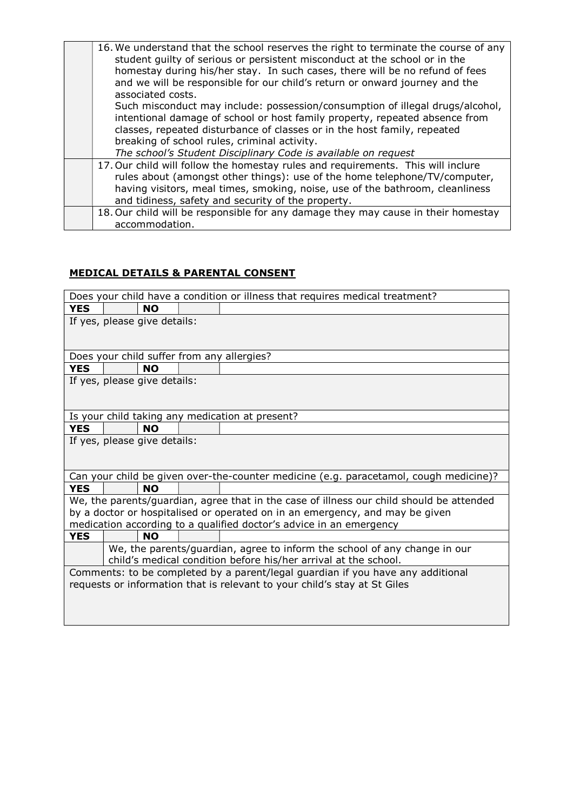| 16. We understand that the school reserves the right to terminate the course of any<br>student guilty of serious or persistent misconduct at the school or in the<br>homestay during his/her stay. In such cases, there will be no refund of fees |
|---------------------------------------------------------------------------------------------------------------------------------------------------------------------------------------------------------------------------------------------------|
| and we will be responsible for our child's return or onward journey and the<br>associated costs.                                                                                                                                                  |
| Such misconduct may include: possession/consumption of illegal drugs/alcohol,<br>intentional damage of school or host family property, repeated absence from                                                                                      |
| classes, repeated disturbance of classes or in the host family, repeated                                                                                                                                                                          |
| breaking of school rules, criminal activity.                                                                                                                                                                                                      |
| The school's Student Disciplinary Code is available on request                                                                                                                                                                                    |
| 17. Our child will follow the homestay rules and requirements. This will inclure                                                                                                                                                                  |
| rules about (amongst other things): use of the home telephone/TV/computer,                                                                                                                                                                        |
| having visitors, meal times, smoking, noise, use of the bathroom, cleanliness                                                                                                                                                                     |
| and tidiness, safety and security of the property.                                                                                                                                                                                                |
| 18. Our child will be responsible for any damage they may cause in their homestay                                                                                                                                                                 |
| accommodation.                                                                                                                                                                                                                                    |

# MEDICAL DETAILS & PARENTAL CONSENT

| Does your child have a condition or illness that requires medical treatment?    |  |                              |  |                                                                                          |  |
|---------------------------------------------------------------------------------|--|------------------------------|--|------------------------------------------------------------------------------------------|--|
| <b>YES</b>                                                                      |  | <b>NO</b>                    |  |                                                                                          |  |
|                                                                                 |  | If yes, please give details: |  |                                                                                          |  |
|                                                                                 |  |                              |  |                                                                                          |  |
|                                                                                 |  |                              |  |                                                                                          |  |
|                                                                                 |  |                              |  | Does your child suffer from any allergies?                                               |  |
| <b>YES</b>                                                                      |  | <b>NO</b>                    |  |                                                                                          |  |
|                                                                                 |  | If yes, please give details: |  |                                                                                          |  |
|                                                                                 |  |                              |  |                                                                                          |  |
|                                                                                 |  |                              |  |                                                                                          |  |
|                                                                                 |  |                              |  | Is your child taking any medication at present?                                          |  |
| <b>YES</b>                                                                      |  | <b>NO</b>                    |  |                                                                                          |  |
|                                                                                 |  | If yes, please give details: |  |                                                                                          |  |
|                                                                                 |  |                              |  |                                                                                          |  |
|                                                                                 |  |                              |  |                                                                                          |  |
|                                                                                 |  |                              |  | Can your child be given over-the-counter medicine (e.g. paracetamol, cough medicine)?    |  |
| <b>YES</b>                                                                      |  | <b>NO</b>                    |  |                                                                                          |  |
|                                                                                 |  |                              |  | We, the parents/guardian, agree that in the case of illness our child should be attended |  |
|                                                                                 |  |                              |  | by a doctor or hospitalised or operated on in an emergency, and may be given             |  |
|                                                                                 |  |                              |  | medication according to a qualified doctor's advice in an emergency                      |  |
| <b>YES</b>                                                                      |  | <b>NO</b>                    |  |                                                                                          |  |
|                                                                                 |  |                              |  | We, the parents/guardian, agree to inform the school of any change in our                |  |
| child's medical condition before his/her arrival at the school.                 |  |                              |  |                                                                                          |  |
| Comments: to be completed by a parent/legal guardian if you have any additional |  |                              |  |                                                                                          |  |
| requests or information that is relevant to your child's stay at St Giles       |  |                              |  |                                                                                          |  |
|                                                                                 |  |                              |  |                                                                                          |  |
|                                                                                 |  |                              |  |                                                                                          |  |
|                                                                                 |  |                              |  |                                                                                          |  |